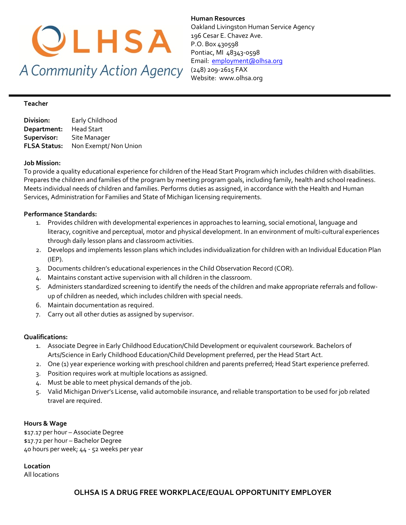

**Human Resources**  Oakland Livingston Human Service Agency 196 Cesar E. Chavez Ave. P.O. Box 430598 Pontiac, MI 48343-0598 Email: [employment@olhsa.org](mailto:employment@olhsa.org) (248) 209-2615 FAX Website: www.olhsa.org

#### **Teacher**

| Division:           | Early Childhood       |
|---------------------|-----------------------|
| Department:         | Head Start            |
| Supervisor:         | Site Manager          |
| <b>FLSA Status:</b> | Non Exempt/ Non Union |

#### **Job Mission:**

To provide a quality educational experience for children of the Head Start Program which includes children with disabilities. Prepares the children and families of the program by meeting program goals, including family, health and school readiness. Meets individual needs of children and families. Performs duties as assigned, in accordance with the Health and Human Services, Administration for Families and State of Michigan licensing requirements.

#### **Performance Standards:**

- 1. Provides children with developmental experiences in approaches to learning, social emotional, language and literacy, cognitive and perceptual, motor and physical development. In an environment of multi-cultural experiences through daily lesson plans and classroom activities.
- 2. Develops and implements lesson plans which includes individualization for children with an Individual Education Plan (IEP).
- 3. Documents children's educational experiences in the Child Observation Record (COR).
- 4. Maintains constant active supervision with all children in the classroom.
- 5. Administers standardized screening to identify the needs of the children and make appropriate referrals and followup of children as needed, which includes children with special needs.
- 6. Maintain documentation as required.
- 7. Carry out all other duties as assigned by supervisor.

#### **Qualifications:**

- 1. Associate Degree in Early Childhood Education/Child Development or equivalent coursework. Bachelors of Arts/Science in Early Childhood Education/Child Development preferred, per the Head Start Act.
- 2. One (1) year experience working with preschool children and parents preferred; Head Start experience preferred.
- 3. Position requires work at multiple locations as assigned.
- 4. Must be able to meet physical demands of the job.
- 5. Valid Michigan Driver's License, valid automobile insurance, and reliable transportation to be used for job related travel are required.

#### **Hours & Wage**

\$17.17 per hour – Associate Degree \$17.72 per hour – Bachelor Degree 40 hours per week; 44 - 52 weeks per year

**Location** All locations

### **OLHSA IS A DRUG FREE WORKPLACE/EQUAL OPPORTUNITY EMPLOYER**